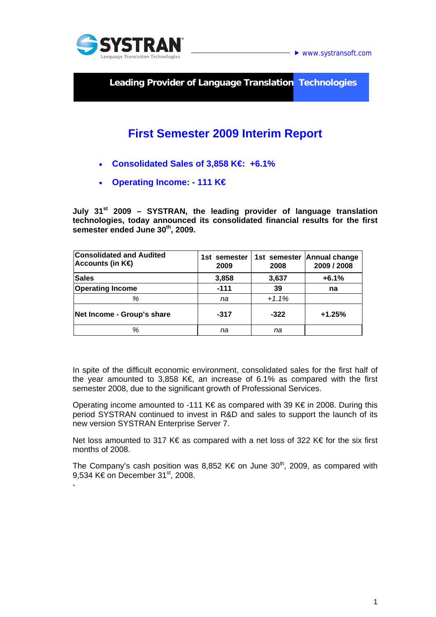

**`** 

**► www.systransoft.com** 

**Leading Provider of Language Translation Technologies** 

## **First Semester 2009 Interim Report**

- **Consolidated Sales of 3,858 K€: +6.1%**
- **Operating Income: 111 K€**

**July 31st 2009 – SYSTRAN, the leading provider of language translation technologies, today announced its consolidated financial results for the first semester ended June 30th, 2009.** 

| <b>Consolidated and Audited</b><br>Accounts (in $K\oplus$ | 1st semester<br>2009 | 2008    | 1st semester Annual change<br>2009 / 2008 |
|-----------------------------------------------------------|----------------------|---------|-------------------------------------------|
| <b>Sales</b>                                              | 3,858                | 3,637   | $+6.1%$                                   |
| <b>Operating Income</b>                                   | $-111$               | 39      | na                                        |
| %                                                         | na                   | $+1.1%$ |                                           |
| Net Income - Group's share                                | $-317$               | $-322$  | $+1.25%$                                  |
| %                                                         | na                   | na      |                                           |

In spite of the difficult economic environment, consolidated sales for the first half of the year amounted to 3,858 K€, an increase of 6.1% as compared with the first semester 2008, due to the significant growth of Professional Services.

Operating income amounted to -111 K€ as compared with 39 K€ in 2008. During this period SYSTRAN continued to invest in R&D and sales to support the launch of its new version SYSTRAN Enterprise Server 7.

Net loss amounted to 317 K€ as compared with a net loss of 322 K€ for the six first months of 2008.

The Company's cash position was 8,852 K€ on June  $30<sup>th</sup>$ , 2009, as compared with 9.534 K€ on December 31<sup>st</sup>, 2008.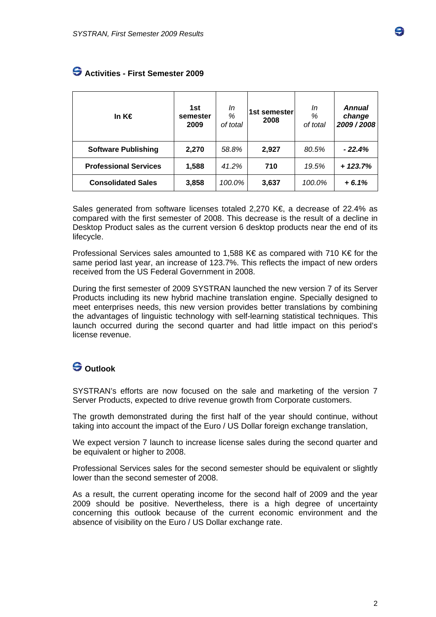| In $K \in$                   | 1st<br>semester<br>2009 | In<br>%<br>of total | 1st semester<br>2008 | In<br>%<br>of total | <b>Annual</b><br>change<br>2009/2008 |
|------------------------------|-------------------------|---------------------|----------------------|---------------------|--------------------------------------|
| <b>Software Publishing</b>   | 2,270                   | 58.8%               | 2,927                | 80.5%               | $-22.4%$                             |
| <b>Professional Services</b> | 1,588                   | 41.2%               | 710                  | 19.5%               | $+123.7%$                            |
| <b>Consolidated Sales</b>    | 3,858                   | 100.0%              | 3,637                | 100.0%              | $+6.1%$                              |

## **Activities - First Semester 2009**

Sales generated from software licenses totaled 2,270 K€, a decrease of 22.4% as compared with the first semester of 2008. This decrease is the result of a decline in Desktop Product sales as the current version 6 desktop products near the end of its lifecycle.

Professional Services sales amounted to 1,588 K€ as compared with 710 K€ for the same period last year, an increase of 123.7%. This reflects the impact of new orders received from the US Federal Government in 2008.

During the first semester of 2009 SYSTRAN launched the new version 7 of its Server Products including its new hybrid machine translation engine. Specially designed to meet enterprises needs, this new version provides better translations by combining the advantages of linguistic technology with self-learning statistical techniques. This launch occurred during the second quarter and had little impact on this period's license revenue.

## **Outlook**

SYSTRAN's efforts are now focused on the sale and marketing of the version 7 Server Products, expected to drive revenue growth from Corporate customers.

The growth demonstrated during the first half of the year should continue, without taking into account the impact of the Euro / US Dollar foreign exchange translation,

We expect version 7 launch to increase license sales during the second quarter and be equivalent or higher to 2008.

Professional Services sales for the second semester should be equivalent or slightly lower than the second semester of 2008.

As a result, the current operating income for the second half of 2009 and the year 2009 should be positive. Nevertheless, there is a high degree of uncertainty concerning this outlook because of the current economic environment and the absence of visibility on the Euro / US Dollar exchange rate.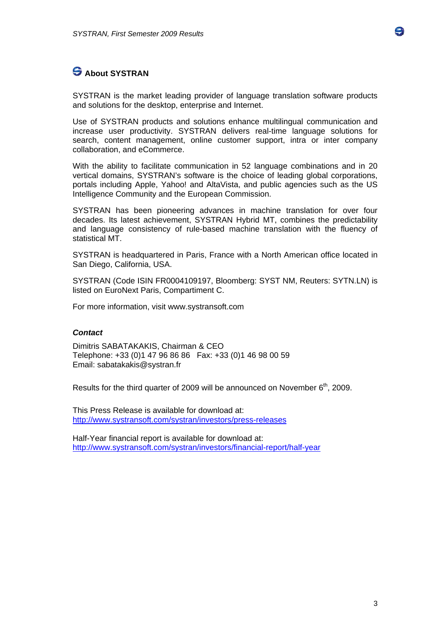

SYSTRAN is the market leading provider of language translation software products and solutions for the desktop, enterprise and Internet.

Use of SYSTRAN products and solutions enhance multilingual communication and increase user productivity. SYSTRAN delivers real-time language solutions for search, content management, online customer support, intra or inter company collaboration, and eCommerce.

With the ability to facilitate communication in 52 language combinations and in 20 vertical domains, SYSTRAN's software is the choice of leading global corporations, portals including Apple, Yahoo! and AltaVista, and public agencies such as the US Intelligence Community and the European Commission.

SYSTRAN has been pioneering advances in machine translation for over four decades. Its latest achievement, SYSTRAN Hybrid MT, combines the predictability and language consistency of rule-based machine translation with the fluency of statistical MT.

SYSTRAN is headquartered in Paris, France with a North American office located in San Diego, California, USA.

SYSTRAN (Code ISIN FR0004109197, Bloomberg: SYST NM, Reuters: SYTN.LN) is listed on EuroNext Paris, Compartiment C.

For more information, visit www.systransoft.com

## *Contact*

Dimitris SABATAKAKIS, Chairman & CEO Telephone: +33 (0)1 47 96 86 86 Fax: +33 (0)1 46 98 00 59 Email: sabatakakis@systran.fr

Results for the third quarter of 2009 will be announced on November  $6<sup>th</sup>$ , 2009.

This Press Release is available for download at: http://www.systransoft.com/systran/investors/press-releases

Half-Year financial report is available for download at: http://www.systransoft.com/systran/investors/financial-report/half-year